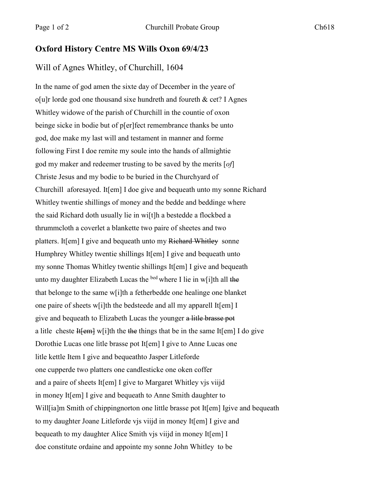## **Oxford History Centre MS Wills Oxon 69/4/23**

## Will of Agnes Whitley, of Churchill, 1604

In the name of god amen the sixte day of December in the yeare of  $o[u]r$  lorde god one thousand sixe hundreth and foureth & cet? I Agnes Whitley widowe of the parish of Churchill in the countie of oxon beinge sicke in bodie but of p[er]fect remembrance thanks be unto god, doe make my last will and testament in manner and forme following First I doe remite my soule into the hands of allmightie god my maker and redeemer trusting to be saved by the merits [*of*] Christe Jesus and my bodie to be buried in the Churchyard of Churchill aforesayed. It[em] I doe give and bequeath unto my sonne Richard Whitley twentie shillings of money and the bedde and beddinge where the said Richard doth usually lie in wi[t]h a bestedde a flockbed a thrummcloth a coverlet a blankette two paire of sheetes and two platters. It[em] I give and bequeath unto my Richard Whitley sonne Humphrey Whitley twentie shillings It[em] I give and bequeath unto my sonne Thomas Whitley twentie shillings It[em] I give and bequeath unto my daughter Elizabeth Lucas the <sup>bed</sup> where I lie in w[i]th all the that belonge to the same w[i]th a fetherbedde one healinge one blanket one paire of sheets w[i]th the bedsteede and all my apparell It[em] I give and bequeath to Elizabeth Lucas the younger a litle brasse pot a litle cheste  $H$ [em] w[i]th the the things that be in the same It[em] I do give Dorothie Lucas one litle brasse pot It[em] I give to Anne Lucas one litle kettle Item I give and bequeathto Jasper Litleforde one cupperde two platters one candlesticke one oken coffer and a paire of sheets It[em] I give to Margaret Whitley vjs viijd in money It[em] I give and bequeath to Anne Smith daughter to Will[ia]m Smith of chippingnorton one little brasse pot It[em] Igive and bequeath to my daughter Joane Litleforde vjs viijd in money It[em] I give and bequeath to my daughter Alice Smith vis viijd in money It[em] I doe constitute ordaine and appointe my sonne John Whitley to be